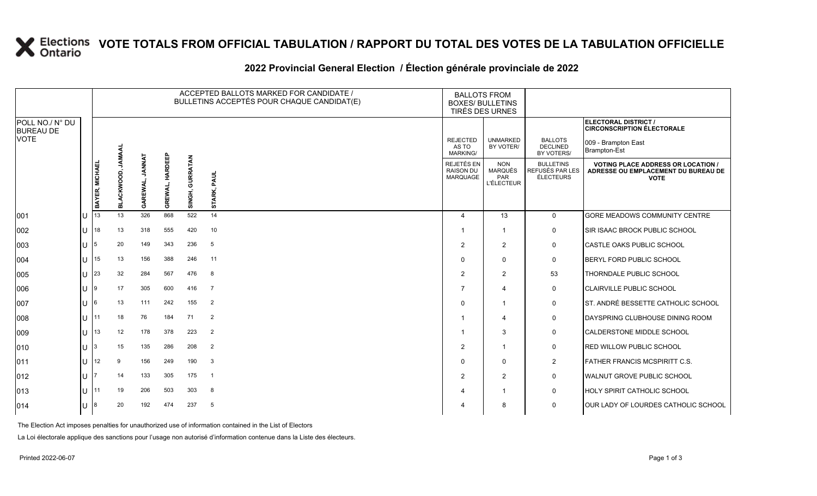### **VOTE TOTALS FROM OFFICIAL TABULATION / RAPPORT DU TOTAL DES VOTES DE LA TABULATION OFFICIELLE**

#### 2022 Provincial General Election / Election générale provinciale de 2022

|                                     |        |                |              |        |                 | ACCEPTED BALLOTS MARKED FOR CANDIDATE /<br>BULLETINS ACCEPTÉS POUR CHAQUE CANDIDAT(E) | <b>BALLOTS FROM</b><br><b>BOXES/ BULLETINS</b><br>TIRÉS DES URNES |                                                   |                                                          |                                                         |                                                                                                 |
|-------------------------------------|--------|----------------|--------------|--------|-----------------|---------------------------------------------------------------------------------------|-------------------------------------------------------------------|---------------------------------------------------|----------------------------------------------------------|---------------------------------------------------------|-------------------------------------------------------------------------------------------------|
| POLL NO./ N° DU<br><b>BUREAU DE</b> |        |                |              |        |                 |                                                                                       |                                                                   |                                                   |                                                          |                                                         | <b>ELECTORAL DISTRICT /</b><br><b>CIRCONSCRIPTION ÉLECTORALE</b>                                |
| <b>VOTE</b>                         |        |                | JAMAA        |        |                 |                                                                                       |                                                                   | <b>REJECTED</b><br>AS TO<br>MARKING/              | <b>UNMARKED</b><br>BY VOTER/                             | <b>BALLOTS</b><br><b>DECLINED</b><br>BY VOTERS/         | 009 - Brampton East<br>Brampton-Est                                                             |
|                                     |        | BAYER, MICHAEL | CKWOOD,<br>ᆱ | GAREWA | GREWAL, HARDEEP | GURRATAN<br>SINGH,                                                                    | PAUL<br>STARK,                                                    | <b>REJETÉS EN</b><br><b>RAISON DU</b><br>MARQUAGE | <b>NON</b><br><b>MARQUÉS</b><br>PAR<br><b>L'ÉLECTEUR</b> | <b>BULLETINS</b><br>REFUSÉS PAR LES<br><b>ÉLECTEURS</b> | <b>VOTING PLACE ADDRESS OR LOCATION /</b><br>ADRESSE OU EMPLACEMENT DU BUREAU DE<br><b>VOTE</b> |
| 001                                 |        | 13             | 13           | 326    | 868             | 522                                                                                   | 14                                                                | $\overline{a}$                                    | 13                                                       | $\mathbf 0$                                             | <b>GORE MEADOWS COMMUNITY CENTRE</b>                                                            |
| 002                                 | U      | 18             | 13           | 318    | 555             | 420                                                                                   | 10                                                                | -1                                                | $\mathbf{1}$                                             | 0                                                       | SIR ISAAC BROCK PUBLIC SCHOOL                                                                   |
| 003                                 | IU     | 15.            | 20           | 149    | 343             | 236                                                                                   | - 5                                                               | $\overline{2}$                                    | 2                                                        | 0                                                       | CASTLE OAKS PUBLIC SCHOOL                                                                       |
| 004                                 | lU.    | 15             | 13           | 156    | 388             | 246                                                                                   | 11                                                                | $\Omega$                                          | $\mathbf{0}$                                             | 0                                                       | BERYL FORD PUBLIC SCHOOL                                                                        |
| 005                                 | U      | 23             | 32           | 284    | 567             | 476                                                                                   | 8                                                                 | 2                                                 | 2                                                        | 53                                                      | THORNDALE PUBLIC SCHOOL                                                                         |
| 006                                 | ΙU     | ١g             | 17           | 305    | 600             | 416                                                                                   | $\overline{7}$                                                    | 7                                                 | $\overline{\mathbf{4}}$                                  | $\mathbf 0$                                             | CLAIRVILLE PUBLIC SCHOOL                                                                        |
| 007                                 | ΙU     | 16             | 13           | 111    | 242             | 155                                                                                   | $\overline{2}$                                                    | $\Omega$                                          | -1                                                       | $\mathbf 0$                                             | ST. ANDRÉ BESSETTE CATHOLIC SCHOOL                                                              |
| 008                                 | U      |                | 18           | 76     | 184             | 71                                                                                    | $\overline{2}$                                                    |                                                   | $\overline{\mathbf{4}}$                                  | 0                                                       | DAYSPRING CLUBHOUSE DINING ROOM                                                                 |
| 009                                 | lU     | 13             | 12           | 178    | 378             | 223                                                                                   | $\overline{2}$                                                    | 1                                                 | 3                                                        | $\mathbf 0$                                             | CALDERSTONE MIDDLE SCHOOL                                                                       |
| 010                                 | U      |                | 15           | 135    | 286             | 208                                                                                   | $\overline{2}$                                                    | 2                                                 | -1                                                       | 0                                                       | RED WILLOW PUBLIC SCHOOL                                                                        |
| 011                                 | U      | 12             | 9            | 156    | 249             | 190                                                                                   | $\mathbf{3}$                                                      | $\Omega$                                          | $\mathbf{0}$                                             | $\overline{2}$                                          | FATHER FRANCIS MCSPIRITT C.S.                                                                   |
| 012                                 | lU.    |                | 14           | 133    | 305             | 175                                                                                   | $\overline{1}$                                                    | 2                                                 | 2                                                        | 0                                                       | WALNUT GROVE PUBLIC SCHOOL                                                                      |
| 013                                 | lU.    | 111            | 19           | 206    | 503             | 303                                                                                   | 8                                                                 |                                                   | $\mathbf{1}$                                             | 0                                                       | HOLY SPIRIT CATHOLIC SCHOOL                                                                     |
| 014                                 | $\cup$ |                | 20           | 192    | 474             | 237                                                                                   | 5                                                                 |                                                   | 8                                                        | $\mathbf 0$                                             | OUR LADY OF LOURDES CATHOLIC SCHOOL                                                             |

The Election Act imposes penalties for unauthorized use of information contained in the List of Electors

La Loi électorale applique des sanctions pour l'usage non autorisé d'information contenue dans la Liste des électeurs.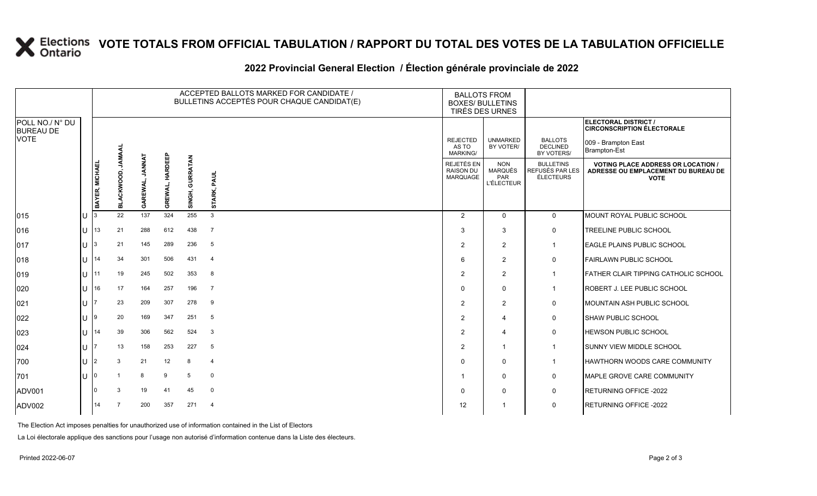# **X** Elections VOTE TOTALS FROM OFFICIAL TABULATION / RAPPORT DU TOTAL DES VOTES DE LA TABULATION OFFICIELLE

### **2022 Provincial General Election / Élection générale provinciale de 2022**

|                                     |                 |                 |                   |                          |                   | ACCEPTED BALLOTS MARKED FOR CANDIDATE /<br>BULLETINS ACCEPTÉS POUR CHAQUE CANDIDAT(E) | <b>BALLOTS FROM</b><br><b>BOXES/ BULLETINS</b><br>TIRÉS DES URNES |                                                          |                                                                 |                                                  |                                                                                                 |
|-------------------------------------|-----------------|-----------------|-------------------|--------------------------|-------------------|---------------------------------------------------------------------------------------|-------------------------------------------------------------------|----------------------------------------------------------|-----------------------------------------------------------------|--------------------------------------------------|-------------------------------------------------------------------------------------------------|
| POLL NO./ N° DU<br><b>BUREAU DE</b> |                 |                 |                   |                          |                   |                                                                                       |                                                                   |                                                          |                                                                 |                                                  | ELECTORAL DISTRICT /<br><b>CIRCONSCRIPTION ÉLECTORALE</b>                                       |
| <b>VOTE</b>                         |                 |                 | <b>JAMAAL</b>     |                          |                   |                                                                                       |                                                                   | <b>REJECTED</b><br>AS TO<br><b>MARKING/</b>              | <b>UNMARKED</b><br>BY VOTER/                                    | <b>BALLOTS</b><br><b>DECLINED</b><br>BY VOTERS/  | 009 - Brampton East<br>Brampton-Est                                                             |
|                                     |                 | BAYER, MICHAEI  | <b>BLACKWOOD,</b> | <b>LANNAT</b><br>GAREWAL | HARDEEP<br>GREWAL | SINGH, GURRATAN                                                                       | PAUL<br>STARK,                                                    | <b>REJETÉS EN</b><br><b>RAISON DU</b><br><b>MARQUAGE</b> | <b>NON</b><br><b>MARQUÉS</b><br><b>PAR</b><br><b>L'ÉLECTEUR</b> | <b>BULLETINS</b><br>REFUSÉS PAR LES<br>ÉLECTEURS | <b>VOTING PLACE ADDRESS OR LOCATION /</b><br>ADRESSE OU EMPLACEMENT DU BUREAU DE<br><b>VOTE</b> |
| 015                                 | U               |                 | 22                | 137                      | 324               | 255                                                                                   | $\mathbf{3}$                                                      | 2                                                        | $\Omega$                                                        | $\overline{0}$                                   | <b>MOUNT ROYAL PUBLIC SCHOOL</b>                                                                |
| 016                                 | U               | 13              | 21                | 288                      | 612               | 438                                                                                   | $\overline{7}$                                                    | 3                                                        | 3                                                               | $\mathbf 0$                                      | TREELINE PUBLIC SCHOOL                                                                          |
| 017                                 | 11 <sup>3</sup> |                 | 21                | 145                      | 289               | 236                                                                                   | 5                                                                 | 2                                                        | $\overline{2}$                                                  | $\mathbf{1}$                                     | EAGLE PLAINS PUBLIC SCHOOL                                                                      |
| 018                                 | $1J$ 14         |                 | 34                | 301                      | 506               | 431                                                                                   | $\overline{4}$                                                    | 6                                                        | $\overline{2}$                                                  | $\mathbf 0$                                      | <b>FAIRLAWN PUBLIC SCHOOL</b>                                                                   |
| 019                                 | $\mathbf{U}$    | 11              | 19                | 245                      | 502               | 353                                                                                   | 8                                                                 | 2                                                        | 2                                                               | $\mathbf{1}$                                     | FATHER CLAIR TIPPING CATHOLIC SCHOOL                                                            |
| 020                                 |                 | $11$ 16         | 17                | 164                      | 257               | 196                                                                                   | $\overline{7}$                                                    | $\Omega$                                                 | $\mathbf 0$                                                     | $\mathbf{1}$                                     | ROBERT J. LEE PUBLIC SCHOOL                                                                     |
| 021                                 | U               |                 | 23                | 209                      | 307               | 278                                                                                   | -9                                                                | 2                                                        | $\overline{2}$                                                  | $\mathbf 0$                                      | <b>IMOUNTAIN ASH PUBLIC SCHOOL</b>                                                              |
| 022                                 | U               | $\overline{19}$ | 20                | 169                      | 347               | 251                                                                                   | - 5                                                               | 2                                                        | $\overline{4}$                                                  | 0                                                | <b>SHAW PUBLIC SCHOOL</b>                                                                       |
| 023                                 | $11$ 14         |                 | 39                | 306                      | 562               | 524                                                                                   | $\mathbf{3}$                                                      | $\overline{2}$                                           | $\overline{4}$                                                  | $\pmb{0}$                                        | <b>HEWSON PUBLIC SCHOOL</b>                                                                     |
| 024                                 | U               |                 | 13                | 158                      | 253               | 227                                                                                   | 5                                                                 | 2                                                        | $\mathbf{1}$                                                    | $\mathbf{1}$                                     | <b>SUNNY VIEW MIDDLE SCHOOL</b>                                                                 |
| 700                                 | U               | I2              | 3                 | 21                       | 12                | 8                                                                                     | $\overline{4}$                                                    | $\Omega$                                                 | $\mathbf 0$                                                     | $\overline{1}$                                   | HAWTHORN WOODS CARE COMMUNITY                                                                   |
| 701                                 | $\cup$          |                 |                   | 8                        | 9                 | 5                                                                                     | $\mathbf 0$                                                       |                                                          | $\mathbf 0$                                                     | 0                                                | MAPLE GROVE CARE COMMUNITY                                                                      |
| ADV001                              |                 |                 | 3                 | 19                       | 41                | 45                                                                                    | $\mathbf 0$                                                       | $\Omega$                                                 | $\mathbf 0$                                                     | $\mathbf 0$                                      | <b>RETURNING OFFICE -2022</b>                                                                   |
| ADV002                              |                 | 14              |                   | 200                      | 357               | 271                                                                                   | $\overline{4}$                                                    | 12                                                       | -1                                                              | 0                                                | RETURNING OFFICE -2022                                                                          |

The Election Act imposes penalties for unauthorized use of information contained in the List of Electors

La Loi électorale applique des sanctions pour l'usage non autorisé d'information contenue dans la Liste des électeurs.